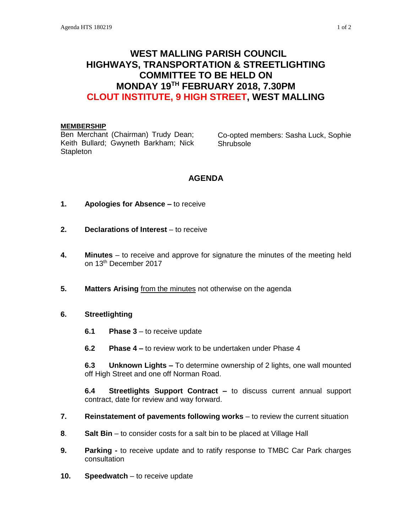# **WEST MALLING PARISH COUNCIL HIGHWAYS, TRANSPORTATION & STREETLIGHTING COMMITTEE TO BE HELD ON MONDAY 19TH FEBRUARY 2018, 7.30PM CLOUT INSTITUTE, 9 HIGH STREET, WEST MALLING**

#### **MEMBERSHIP**

Ben Merchant (Chairman) Trudy Dean; Keith Bullard; Gwyneth Barkham; Nick **Stapleton** 

Co-opted members: Sasha Luck, Sophie Shrubsole

## **AGENDA**

- **1. Apologies for Absence –** to receive
- **2. Declarations of Interest** to receive
- **4. Minutes**  to receive and approve for signature the minutes of the meeting held on 13th December 2017
- **5. Matters Arising** from the minutes not otherwise on the agenda
- **6. Streetlighting**
	- **6.1 Phase 3** to receive update
	- **6.2 Phase 4 –** to review work to be undertaken under Phase 4

**6.3 Unknown Lights –** To determine ownership of 2 lights, one wall mounted off High Street and one off Norman Road.

**6.4 Streetlights Support Contract –** to discuss current annual support contract, date for review and way forward.

- **7. Reinstatement of pavements following works** to review the current situation
- **8**. **Salt Bin** to consider costs for a salt bin to be placed at Village Hall
- **9. Parking -** to receive update and to ratify response to TMBC Car Park charges consultation
- **10. Speedwatch** to receive update